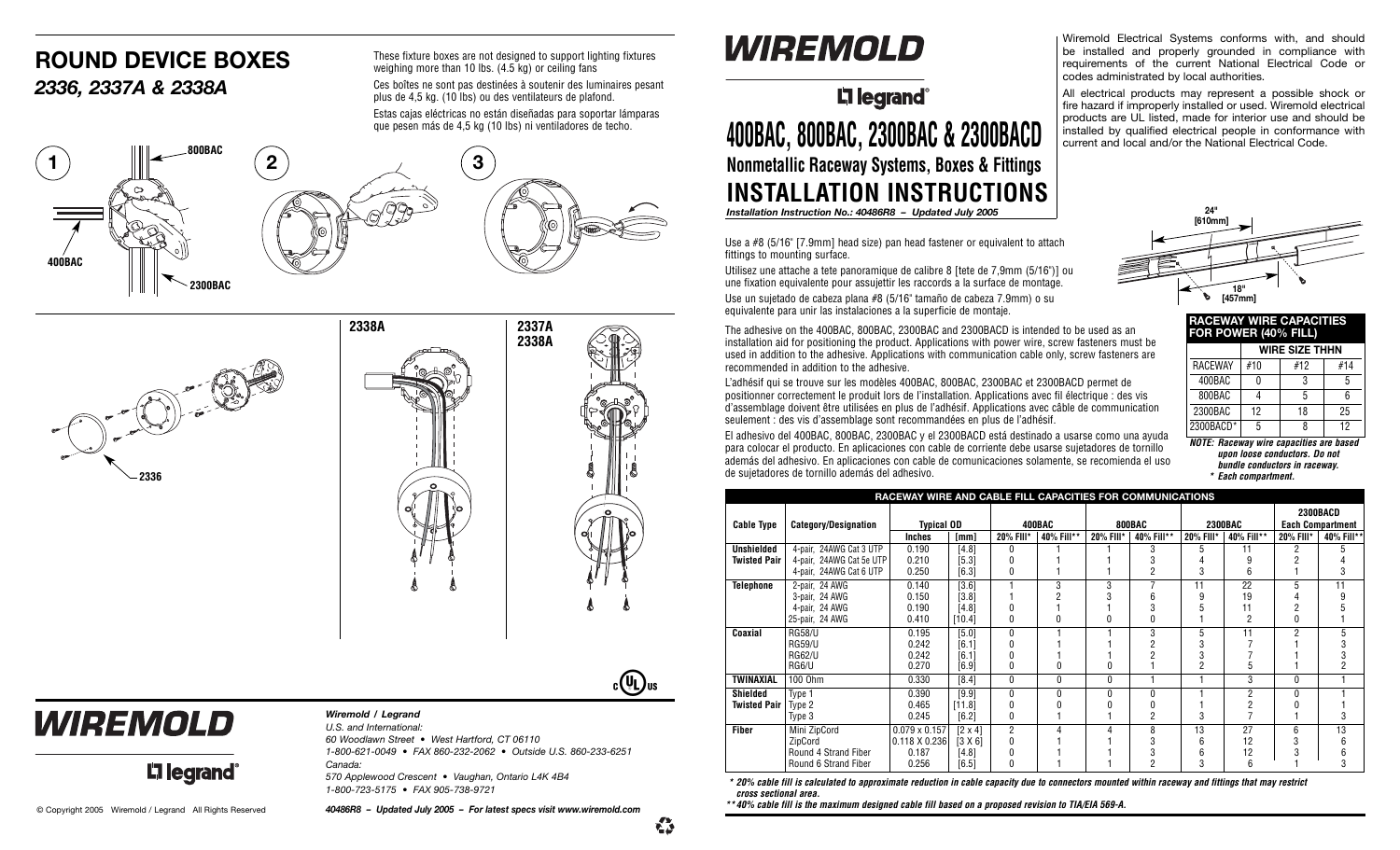#### **ROUND DEVICE BOXES** *2336, 2337A & 2338A*

These fixture boxes are not designed to support lighting fixtures weighing more than 10 lbs. (4.5 kg) or ceiling fans Ces boîtes ne sont pas destinées à soutenir des luminaires pesant plus de 4,5 kg. (10 lbs) ou des ventilateurs de plafond. Estas cajas eléctricas no están diseñadas para soportar lámparas que pesen más de 4,5 kg (10 lbs) ni ventiladores de techo.





## WIREMOLD

#### *Wiremold / Legrand*

*U.S. and International: 60 Woodlawn Street • West Hartford, CT 06110 1-800-621-0049 • FAX 860-232-2062 • Outside U.S. 860-233-6251 Canada: 570 Applewood Crescent • Vaughan, Ontario L4K 4B4 1-800-723-5175 • FAX 905-738-9721*

**L'i legrand** 

#### *Installation Instruction No.: 40486R8 – Updated July 2005*

Use a #8 (5/16" [7.9mm] head size) pan head fastener or equivalent to attach fittings to mounting surface.

**400BAC, 800BAC, 2300BAC & 2300BACD**

**Li legrand** 

WIREMOLD

**Nonmetallic Raceway Systems, Boxes & Fittings INSTALLATION INSTRUCTIONS**

Utilisez une attache a tete panoramique de calibre 8 [tete de 7,9mm (5/16")] ou une fixation equivalente pour assujettir les raccords a la surface de montage. Use un sujetado de cabeza plana #8 (5/16" tamaño de cabeza 7.9mm) o su equivalente para unir las instalaciones a la superficie de montaje.

The adhesive on the 400BAC, 800BAC, 2300BAC and 2300BACD is intended to be used as an installation aid for positioning the product. Applications with power wire, screw fasteners must be used in addition to the adhesive. Applications with communication cable only, screw fasteners are recommended in addition to the adhesive.

L'adhésif qui se trouve sur les modèles 400BAC, 800BAC, 2300BAC et 2300BACD permet de positionner correctement le produit lors de l'installation. Applications avec fil électrique : des vis d'assemblage doivent être utilisées en plus de l'adhésif. Applications avec câble de communication seulement : des vis d'assemblage sont recommandées en plus de l'adhésif.

El adhesivo del 400BAC, 800BAC, 2300BAC y el 2300BACD está destinado a usarse como una ayuda para colocar el producto. En aplicaciones con cable de corriente debe usarse sujetadores de tornillo además del adhesivo. En aplicaciones con cable de comunicaciones solamente, se recomienda el uso de sujetadores de tornillo además del adhesivo.

Wiremold Electrical Systems conforms with, and should be installed and properly grounded in compliance with requirements of the current National Electrical Code or codes administrated by local authorities.

All electrical products may represent a possible shock or fire hazard if improperly installed or used. Wiremold electrical products are UL listed, made for interior use and should be installed by qualified electrical people in conformance with current and local and/or the National Electrical Code.



| RAVEWAT WIRE VAPAVITIES<br>FOR POWER (40% FILL) |                       |     |     |  |  |  |  |  |  |  |
|-------------------------------------------------|-----------------------|-----|-----|--|--|--|--|--|--|--|
|                                                 | <b>WIRE SIZE THHN</b> |     |     |  |  |  |  |  |  |  |
| <b>RACEWAY</b>                                  | #10                   | #12 | #14 |  |  |  |  |  |  |  |
| 400BAC                                          |                       | 3   | 5   |  |  |  |  |  |  |  |
| 800BAC                                          |                       | 5   | 6   |  |  |  |  |  |  |  |
| 2300BAC                                         | 12                    | 18  | 25  |  |  |  |  |  |  |  |
| 2300BACD*                                       | 5                     | 8   | 12  |  |  |  |  |  |  |  |

**NOTE: Raceway wire capacities are based upon loose conductors. Do not bundle conductors in raceway. \* Each compartment.**

| RACEWAY WIRE AND CABLE FILL CAPACITIES FOR COMMUNICATIONS |                             |                      |                |                |            |           |            |                |                 |                         |            |  |  |
|-----------------------------------------------------------|-----------------------------|----------------------|----------------|----------------|------------|-----------|------------|----------------|-----------------|-------------------------|------------|--|--|
|                                                           |                             |                      |                |                |            |           |            |                | <b>2300BACD</b> |                         |            |  |  |
| <b>Cable Type</b>                                         | <b>Category/Designation</b> | <b>Typical OD</b>    |                | 400BAC         |            | 800BAC    |            | <b>2300BAC</b> |                 | <b>Each Compartment</b> |            |  |  |
|                                                           |                             | Inches               | [mm]           | 20% FIII*      | 40% Fill** | 20% FIII* | 40% Fill** | 20% FIII*      | 40% Fill**      | 20% FIII*               | 40% Fill** |  |  |
| <b>Unshielded</b>                                         | 4-pair, 24AWG Cat 3 UTP     | 0.190                | [4.8]          | 0              |            |           | 3          | 5              | 11              | 2                       | 5          |  |  |
| <b>Twisted Pair</b>                                       | 4-pair, 24AWG Cat 5e UTP    | 0.210                | $[5.3]$        |                |            |           |            |                |                 |                         |            |  |  |
|                                                           | 4-pair, 24AWG Cat 6 UTP     | 0.250                | [6.3]          | 0              |            |           | 2          | 3              | 6               |                         | 3          |  |  |
| Telephone                                                 | 2-pair, 24 AWG              | 0.140                | [3.6]          |                | 3          |           |            | 11             | 22              | 5                       | 11         |  |  |
|                                                           | 3-pair, 24 AWG              | 0.150                | [3.8]          |                |            |           | հ          | 9              | 19              |                         | 9          |  |  |
|                                                           | 4-pair, 24 AWG              | 0.190                | [4.8]          |                |            |           | 3          |                | 11              | 2                       |            |  |  |
|                                                           | 25-pair, 24 AWG             | 0.410                | [10.4]         | 0              |            |           | O          |                | $\overline{2}$  | 0                       |            |  |  |
| Coaxial                                                   | <b>RG58/U</b>               | 0.195                | $[5.0]$        | $\mathbf{0}$   |            |           | 3          | 5              | 11              | 2                       | 5          |  |  |
|                                                           | <b>RG59/U</b>               | 0.242                | [6.1]          |                |            |           |            | 3              |                 |                         | 3          |  |  |
|                                                           | <b>RG62/U</b>               | 0.242                | [6.1]          |                |            |           |            | 3              |                 |                         |            |  |  |
|                                                           | RG6/U                       | 0.270                | [6.9]          | 0              |            |           |            | $\overline{2}$ |                 |                         | 2          |  |  |
| TWINAXIAL                                                 | 100 Ohm                     | 0.330                | [8.4]          | $\theta$       | 0          | 0         |            |                | 3               | 0                       |            |  |  |
| <b>Shielded</b>                                           | Type 1                      | 0.390                | [9.9]          | $\mathbf{0}$   | Ń          | O         | ŋ          |                | 2               | 0                       |            |  |  |
| <b>Twisted Pair</b>                                       | Type 2                      | 0.465                | [11.8]         |                |            |           |            |                |                 |                         |            |  |  |
|                                                           | Type 3                      | 0.245                | [6.2]          | 0              |            |           | 2          | 3              |                 |                         | 3          |  |  |
| <b>Fiber</b>                                              | Mini ZipCord                | $0.079 \times 0.157$ | $[2 \times 4]$ | $\overline{2}$ |            | 4         | 8          | 13             | 27              | 6                       | 13         |  |  |
|                                                           | ZipCord                     | 0.118 X 0.236        | [3 X 6]        |                |            |           | 3          | 6              | 12              | 3                       | 6          |  |  |
|                                                           | Round 4 Strand Fiber        | 0.187                | [4.8]          |                |            |           | 3          | 6              | 12              |                         | 6          |  |  |
|                                                           | Round 6 Strand Fiber        | 0.256                | [6.5]          | 0              |            |           | 2          | 3              | 6               |                         | 3          |  |  |

**\* 20% cable fill is calculated to approximate reduction in cable capacity due to connectors mounted within raceway and fittings that may restrict cross sectional area.** 

\*\*40% cable fill is the maximum designed cable fill based on a proposed revision to TIA/EIA 569-A. © Copyright 2005 Wiremold / Legrand All Rights Reserved 40486R8 - Updated July 2005 - For latest specs visit www.wiremold.com \*\*\*40% cable fill is the maximum designed cable fill based on a proposed revision to TIA/EIA 569

€

 $c(y_L)$ us